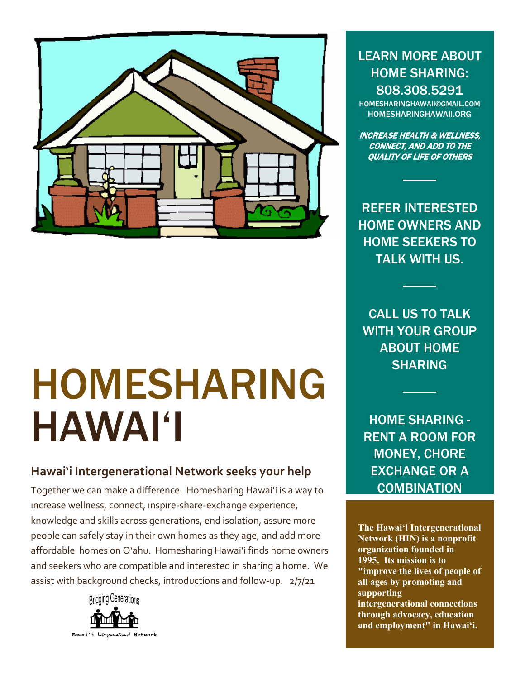

# HOMESHARING HAWAI'I

## **Hawai'i Intergenerational Network is looking for**

home owners and home seekers interested in sharing a home.. Homesharing Hawai'i is a way to increase community wellness, connect and share across generations, end isolation, assure more people can safely stay at home as they age, share living expenses, and add more affordable homes on O'ahu. We find home owners and seekers who are compatible and interested in sharing a home. We assist with background checks, introductions and follow-up. 4/1/22



LEARN MORE ABOUT HOME SHARING: 808.308.5291

[HOMESHARINGHAWAII@GMAIL.COM](mailto:HOMESHARINGHAWAII@GMAIL.COM) HOMESHARINGHAWAII.ORG

INCREASE HEALTH & WELLNESS, CONNECT, AND ADD TO THE QUALITY OF LIFE OF OTHERS

Is this for me? HOME OWNERS & HOME SEEKERS. call us to learn more.

CALL US TO TALK WITH YOUR GROUP ABOUT HOME SHARING

HOME SHARING - RENT A ROOM FOR MONEY, CHORE EXCHANGE OR A **COMBINATION** 

**The Hawai'i Intergenerational Network (HIN) is a nonprofit organization founded in 1995. Its mission is to "improve the lives of people of all ages by promoting and supporting intergenerational connections through advocacy, education and employment" in Hawai'i.**